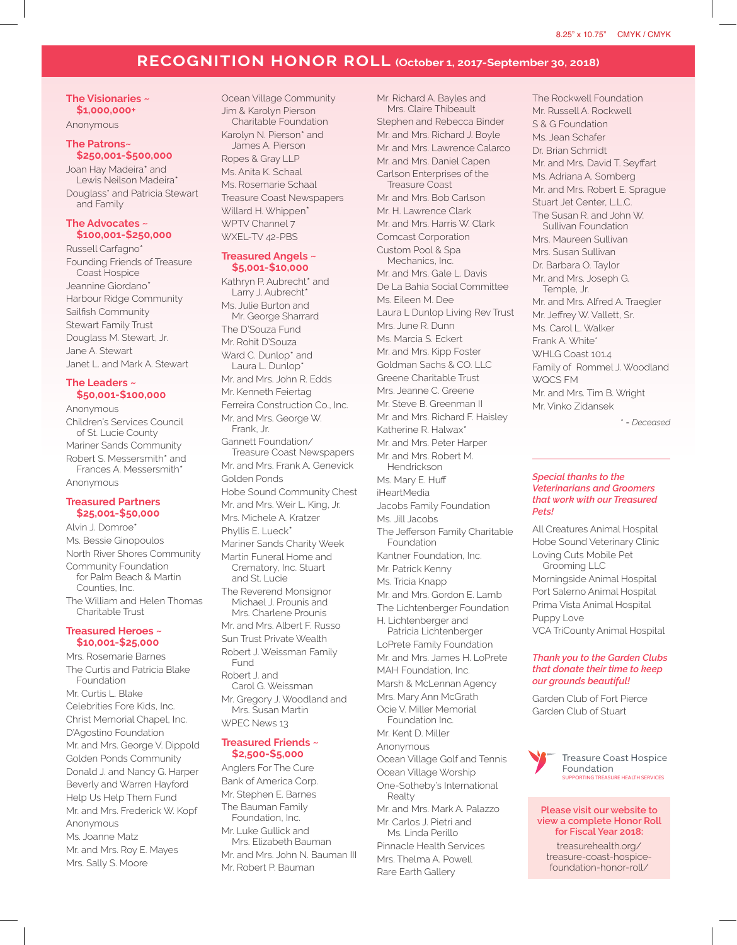# **RECOGNITION HONOR ROLL (October 1, 2017-September 30, 2018)**

**The Visionaries ~ \$1,000,000+** Anonymous

# **The Patrons~**

**\$250,001-\$500,000** Joan Hay Madeira\* and Lewis Neilson Madeira\* Douglass\* and Patricia Stewart and Family

#### **The Advocates ~ \$100,001-\$250,000**

Russell Carfagno\* Founding Friends of Treasure Coast Hospice Jeannine Giordano\* Harbour Ridge Community Sailfish Community Stewart Family Trust Douglass M. Stewart, Jr. Jane A. Stewart Janet L. and Mark A. Stewart

## **The Leaders ~ \$50,001-\$100,000**

Anonymous Children's Services Council of St. Lucie County Mariner Sands Community Robert S. Messersmith\* and Frances A. Messersmith\* Anonymous

## **Treasured Partners \$25,001-\$50,000**

Alvin J. Domroe\* Ms. Bessie Ginopoulos North River Shores Community Community Foundation for Palm Beach & Martin Counties, Inc. The William and Helen Thomas Charitable Trust

# **Treasured Heroes ~ \$10,001-\$25,000**

Mrs. Rosemarie Barnes The Curtis and Patricia Blake Foundation Mr. Curtis L. Blake Celebrities Fore Kids, Inc. Christ Memorial Chapel, Inc. D'Agostino Foundation Mr. and Mrs. George V. Dippold Golden Ponds Community Donald J. and Nancy G. Harper Beverly and Warren Hayford Help Us Help Them Fund Mr. and Mrs. Frederick W. Kopf Anonymous Ms. Joanne Matz Mr. and Mrs. Roy E. Mayes Mrs. Sally S. Moore

Ocean Village Community Jim & Karolyn Pierson Charitable Foundation Karolyn N. Pierson\* and James A. Pierson Ropes & Gray LLP Ms. Anita K. Schaal Ms. Rosemarie Schaal Treasure Coast Newspapers Willard H. Whippen\* WPTV Channel 7 WXEL-TV 42-PBS

### **Treasured Angels ~ \$5,001-\$10,000**

Kathryn P. Aubrecht\* and Larry J. Aubrecht\* Ms. Julie Burton and Mr. George Sharrard The D'Souza Fund Mr. Rohit D'Souza Ward C. Dunlop<sup>\*</sup> and Laura L. Dunlop\* Mr. and Mrs. John R. Edds Mr. Kenneth Feiertag Ferreira Construction Co., Inc. Mr. and Mrs. George W. Frank, Jr. Gannett Foundation/ Treasure Coast Newspapers Mr. and Mrs. Frank A. Genevick Golden Ponds Hobe Sound Community Chest Mr. and Mrs. Weir L. King, Jr. Mrs. Michele A. Kratzer Phyllis E. Lueck\* Mariner Sands Charity Week Martin Funeral Home and Crematory, Inc. Stuart and St. Lucie The Reverend Monsignor Michael J. Prounis and Mrs. Charlene Prounis Mr. and Mrs. Albert F. Russo Sun Trust Private Wealth Robert J. Weissman Family Fund Robert J. and Carol G. Weissman Mr. Gregory J. Woodland and Mrs. Susan Martin WPEC News 13

#### **Treasured Friends ~ \$2,500-\$5,000**

Anglers For The Cure Bank of America Corp. Mr. Stephen E. Barnes The Bauman Family Foundation, Inc. Mr. Luke Gullick and Mrs. Elizabeth Bauman Mr. and Mrs. John N. Bauman III Mr. Robert P. Bauman

Mr. Richard A. Bayles and Mrs. Claire Thibeault Stephen and Rebecca Binder Mr. and Mrs. Richard J. Boyle Mr. and Mrs. Lawrence Calarco Mr. and Mrs. Daniel Capen Carlson Enterprises of the Treasure Coast Mr. and Mrs. Bob Carlson Mr. H. Lawrence Clark Mr. and Mrs. Harris W. Clark Comcast Corporation Custom Pool & Spa Mechanics, Inc. Mr. and Mrs. Gale L. Davis De La Bahia Social Committee Ms. Eileen M. Dee Laura L Dunlop Living Rev Trust Mrs. June R. Dunn Ms. Marcia S. Eckert Mr. and Mrs. Kipp Foster Goldman Sachs & CO. LLC Greene Charitable Trust Mrs. Jeanne C. Greene Mr. Steve B. Greenman II Mr. and Mrs. Richard F. Haisley Katherine R. Halwax\* Mr. and Mrs. Peter Harper Mr. and Mrs. Robert M. Hendrickson Ms. Mary E. Huff iHeartMedia Jacobs Family Foundation Ms. Jill Jacobs The Jefferson Family Charitable Foundation Kantner Foundation, Inc. Mr. Patrick Kenny Ms. Tricia Knapp Mr. and Mrs. Gordon E. Lamb The Lichtenberger Foundation H. Lichtenberger and Patricia Lichtenberger LoPrete Family Foundation Mr. and Mrs. James H. LoPrete MAH Foundation, Inc. Marsh & McLennan Agency Mrs. Mary Ann McGrath Ocie V. Miller Memorial Foundation Inc. Mr. Kent D. Miller Anonymous Ocean Village Golf and Tennis Ocean Village Worship One-Sotheby's International Realty Mr. and Mrs. Mark A. Palazzo Mr. Carlos J. Pietri and Ms. Linda Perillo

Pinnacle Health Services Mrs. Thelma A. Powell Rare Earth Gallery

The Rockwell Foundation Mr. Russell A. Rockwell S & G Foundation Ms. Jean Schafer Dr. Brian Schmidt Mr. and Mrs. David T. Seyffart Ms. Adriana A. Somberg Mr. and Mrs. Robert E. Sprague Stuart Jet Center, L.L.C. The Susan R. and John W. Sullivan Foundation Mrs. Maureen Sullivan Mrs. Susan Sullivan Dr. Barbara O. Taylor Mr. and Mrs. Joseph G. Temple, Jr. Mr. and Mrs. Alfred A. Traegler Mr. Jeffrey W. Vallett, Sr. Ms. Carol L. Walker Frank A. White<sup>\*</sup> WHLG Coast 101.4 Family of Rommel J. Woodland WQCS FM Mr. and Mrs. Tim B. Wright Mr. Vinko Zidansek

*\* = Deceased*

## *Special thanks to the Veterinarians and Groomers that work with our Treasured Pets!*

All Creatures Animal Hospital Hobe Sound Veterinary Clinic Loving Cuts Mobile Pet Grooming LLC Morningside Animal Hospital Port Salerno Animal Hospital Prima Vista Animal Hospital Puppy Love VCA TriCounty Animal Hospital

# *Thank you to the Garden Clubs that donate their time to keep our grounds beautiful!*

Garden Club of Fort Pierce Garden Club of Stuart



**Treasure Coast Hospice** Foundation **ING TREASURE HEALTH SERVICES** 

#### **Please visit our website to view a complete Honor Roll for Fiscal Year 2018:**

treasurehealth.org/ treasure-coast-hospicefoundation-honor-roll/